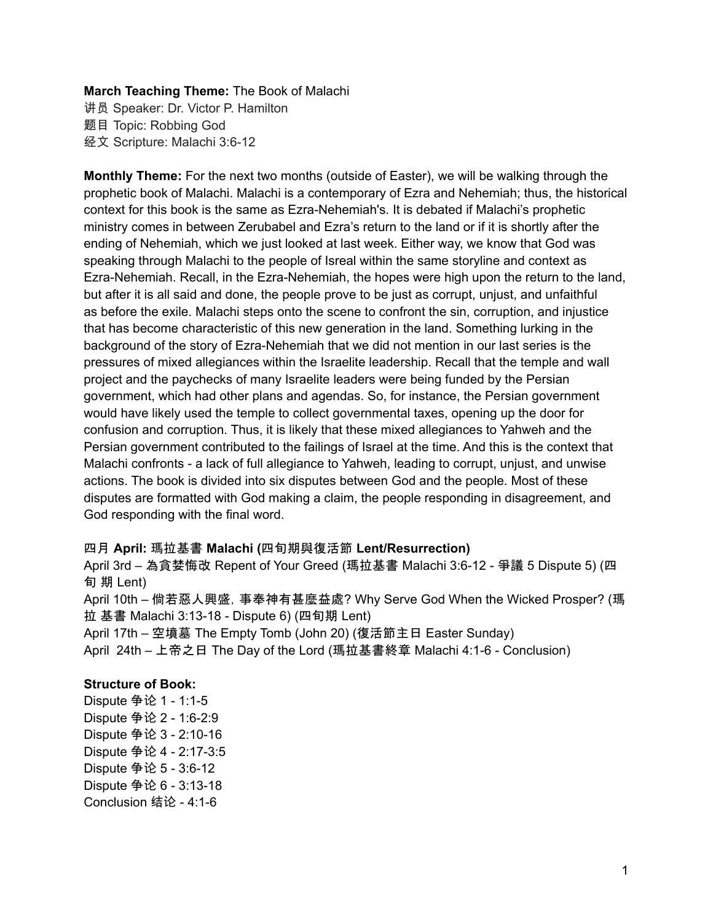### **March Teaching Theme:** The Book of Malachi

讲员 Speaker: Dr. Victor P. Hamilton 题目 Topic: Robbing God 经文 Scripture: Malachi 3:6-12

**Monthly Theme:** For the next two months (outside of Easter), we will be walking through the prophetic book of Malachi. Malachi is a contemporary of Ezra and Nehemiah; thus, the historical context for this book is the same as Ezra-Nehemiah's. It is debated if Malachi's prophetic ministry comes in between Zerubabel and Ezra's return to the land or if it is shortly after the ending of Nehemiah, which we just looked at last week. Either way, we know that God was speaking through Malachi to the people of Isreal within the same storyline and context as Ezra-Nehemiah. Recall, in the Ezra-Nehemiah, the hopes were high upon the return to the land, but after it is all said and done, the people prove to be just as corrupt, unjust, and unfaithful as before the exile. Malachi steps onto the scene to confront the sin, corruption, and injustice that has become characteristic of this new generation in the land. Something lurking in the background of the story of Ezra-Nehemiah that we did not mention in our last series is the pressures of mixed allegiances within the Israelite leadership. Recall that the temple and wall project and the paychecks of many Israelite leaders were being funded by the Persian government, which had other plans and agendas. So, for instance, the Persian government would have likely used the temple to collect governmental taxes, opening up the door for confusion and corruption. Thus, it is likely that these mixed allegiances to Yahweh and the Persian government contributed to the failings of Israel at the time. And this is the context that Malachi confronts - a lack of full allegiance to Yahweh, leading to corrupt, unjust, and unwise actions. The book is divided into six disputes between God and the people. Most of these disputes are formatted with God making a claim, the people responding in disagreement, and God responding with the final word.

#### 四月 **April:** 瑪拉基書 **Malachi (**四旬期與復活節 **Lent/Resurrection)**

April 3rd – 為貪婪悔改 Repent of Your Greed (瑪拉基書 Malachi 3:6-12 - 爭議 5 Dispute 5) (四 旬 期 Lent)

April 10th – 倘若惡人興盛,事奉神有甚麼益處? Why Serve God When the Wicked Prosper? (瑪 拉 基書 Malachi 3:13-18 - Dispute 6) (四旬期 Lent)

April 17th – 空墳墓 The Empty Tomb (John 20) (復活節主日 Easter Sunday) April 24th – 上帝之日 The Day of the Lord (瑪拉基書終章 Malachi 4:1-6 - Conclusion)

#### **Structure of Book:**

Dispute 争论 1 - 1:1-5 Dispute 争论 2 - 1:6-2:9 Dispute 争论 3 - 2:10-16 Dispute 争论 4 - 2:17-3:5 Dispute 争论 5 - 3:6-12 Dispute 争论 6 - 3:13-18 Conclusion 结论 - 4:1-6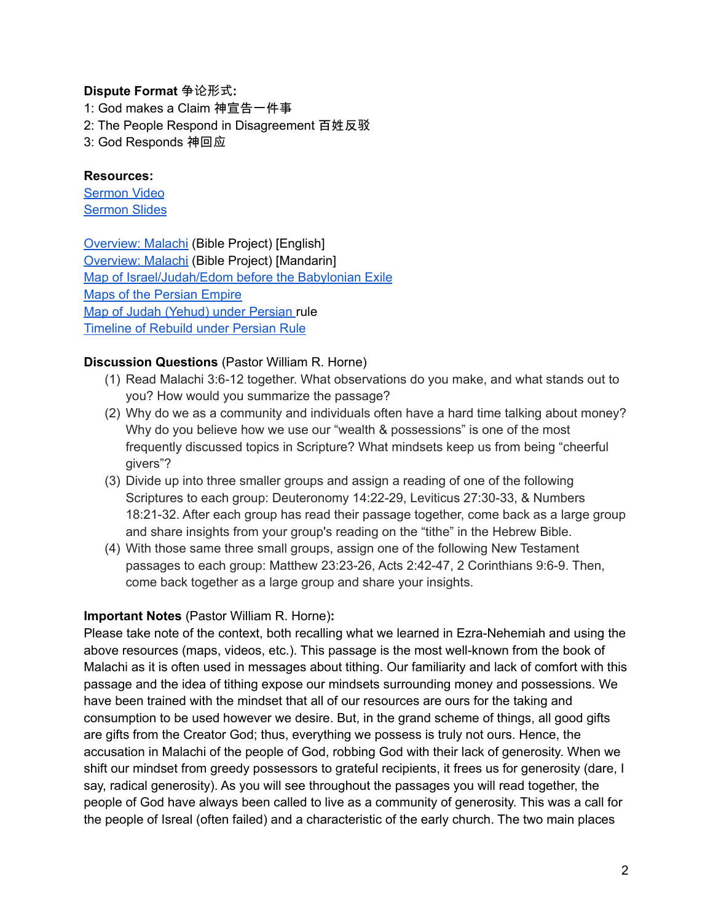## **Dispute Format** 争论形式**:**

1: God makes a Claim 神宣告一件事 2: The People Respond in Disagreement 百姓反驳 3: God Responds 神回应

## **Resources:**

[Sermon](https://www.youtube.com/watch?v=Eqfed-l4jzA) Video [Sermon](http://www.lcccky.org/CellGroup/Meetings/2022%2004%2003%20Robbing%20God.pdf) Slides

[Overview:](https://bibleproject.com/explore/video/malachi/) Malachi (Bible Project) [English] [Overview:](https://www.youtube.com/watch?v=8T57vKj-Ix8&list=PLE-R0uydm0uN0xKD3tw0aheiQojlf1JB1&index=29) Malachi (Bible Project) [Mandarin] Map of [Israel/Judah/Edom](https://docs.google.com/presentation/d/1tFqR--i8vR65UNcydtMDcN0P1IocObGP6zsQPzodJvg/edit?usp=sharing) before the Babylonian Exile Maps of the [Persian](https://docs.google.com/presentation/d/1etJFccQZX3MryDbRrS1s5n6bjpYFgUOYwQ4VQG_JuV4/edit?usp=sharing) Empire Map of Judah [\(Yehud\)](https://docs.google.com/presentation/d/1B-jPxAPFXvR-dkqLLivyckb0uZtp_PYXSNJsG_iepRA/edit?usp=sharing) under Persian rule [Timeline](https://docs.google.com/presentation/d/1pivSiquO322iIeBUBqD0yGXiqO8ft5FlPvqLRck4eek/edit?usp=sharing) of Rebuild under Persian Rule

# **Discussion Questions** (Pastor William R. Horne)

- (1) Read Malachi 3:6-12 together. What observations do you make, and what stands out to you? How would you summarize the passage?
- (2) Why do we as a community and individuals often have a hard time talking about money? Why do you believe how we use our "wealth & possessions" is one of the most frequently discussed topics in Scripture? What mindsets keep us from being "cheerful givers"?
- (3) Divide up into three smaller groups and assign a reading of one of the following Scriptures to each group: Deuteronomy 14:22-29, Leviticus 27:30-33, & Numbers 18:21-32. After each group has read their passage together, come back as a large group and share insights from your group's reading on the "tithe" in the Hebrew Bible.
- (4) With those same three small groups, assign one of the following New Testament passages to each group: Matthew 23:23-26, Acts 2:42-47, 2 Corinthians 9:6-9. Then, come back together as a large group and share your insights.

### **Important Notes** (Pastor William R. Horne)**:**

Please take note of the context, both recalling what we learned in Ezra-Nehemiah and using the above resources (maps, videos, etc.). This passage is the most well-known from the book of Malachi as it is often used in messages about tithing. Our familiarity and lack of comfort with this passage and the idea of tithing expose our mindsets surrounding money and possessions. We have been trained with the mindset that all of our resources are ours for the taking and consumption to be used however we desire. But, in the grand scheme of things, all good gifts are gifts from the Creator God; thus, everything we possess is truly not ours. Hence, the accusation in Malachi of the people of God, robbing God with their lack of generosity. When we shift our mindset from greedy possessors to grateful recipients, it frees us for generosity (dare, I say, radical generosity). As you will see throughout the passages you will read together, the people of God have always been called to live as a community of generosity. This was a call for the people of Isreal (often failed) and a characteristic of the early church. The two main places